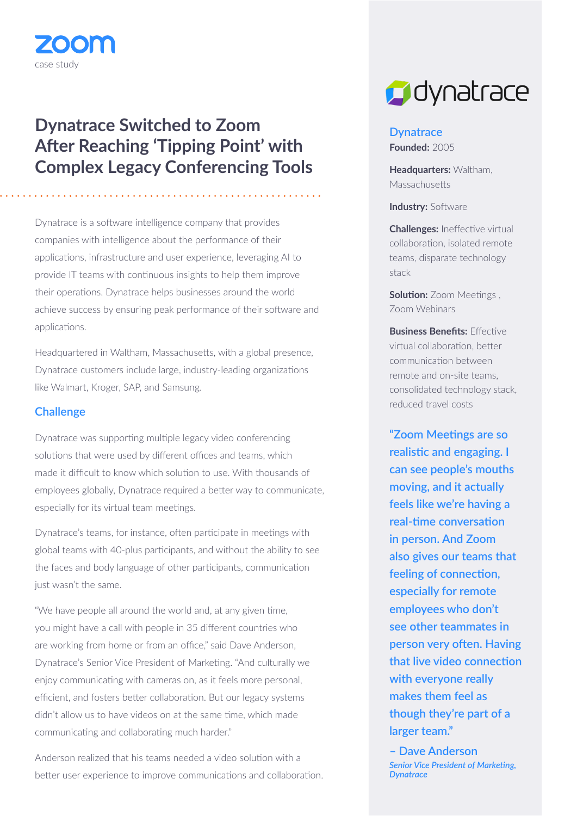# **Dynatrace Switched to Zoom After Reaching 'Tipping Point' with Complex Legacy Conferencing Tools**

Dynatrace is a software intelligence company that provides companies with intelligence about the performance of their applications, infrastructure and user experience, leveraging AI to provide IT teams with continuous insights to help them improve their operations. Dynatrace helps businesses around the world achieve success by ensuring peak performance of their software and applications.

Headquartered in Waltham, Massachusetts, with a global presence, Dynatrace customers include large, industry-leading organizations like Walmart, Kroger, SAP, and Samsung.

## **Challenge**

case study

Dynatrace was supporting multiple legacy video conferencing solutions that were used by different offices and teams, which made it difficult to know which solution to use. With thousands of employees globally, Dynatrace required a better way to communicate, especially for its virtual team meetings.

Dynatrace's teams, for instance, often participate in meetings with global teams with 40-plus participants, and without the ability to see the faces and body language of other participants, communication just wasn't the same.

"We have people all around the world and, at any given time, you might have a call with people in 35 different countries who are working from home or from an office," said Dave Anderson, Dynatrace's Senior Vice President of Marketing. "And culturally we enjoy communicating with cameras on, as it feels more personal, efficient, and fosters better collaboration. But our legacy systems didn't allow us to have videos on at the same time, which made communicating and collaborating much harder."

Anderson realized that his teams needed a video solution with a better user experience to improve communications and collaboration.



# **Dynatrace Founded:** 2005

**Headquarters:** Waltham, Massachusetts

**Industry:** Software

**Challenges:** Ineffective virtual collaboration, isolated remote teams, disparate technology stack

**Solution:** Zoom Meetings , Zoom Webinars

**Business Benefits:** Effective virtual collaboration, better communication between remote and on-site teams, consolidated technology stack, reduced travel costs

**"Zoom Meetings are so realistic and engaging. I can see people's mouths moving, and it actually feels like we're having a real-time conversation in person. And Zoom also gives our teams that feeling of connection, especially for remote employees who don't see other teammates in person very often. Having that live video connection with everyone really makes them feel as though they're part of a larger team."**

**– Dave Anderson** *Senior Vice President of Marketing, Dynatrace*